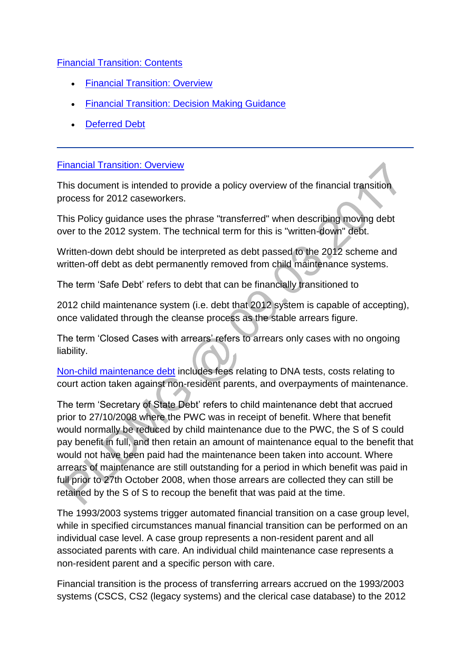## [Financial Transition: Contents](http://np-cmg-sharepoint.link2.gpn.gov.uk/sites/policy-law-and-decision-making-guidance/Pages/Financial-Transition.aspx#Financial%20Transition%3a%20Contents)

- [Financial Transition: Overview](http://np-cmg-sharepoint.link2.gpn.gov.uk/sites/policy-law-and-decision-making-guidance/Pages/Financial-Transition.aspx#%20Financial%20Transition%3a%20Overview)
- [Financial Transition: Decision Making Guidance](http://np-cmg-sharepoint.link2.gpn.gov.uk/sites/policy-law-and-decision-making-guidance/Pages/Financial-Transition.aspx#Financial%20Transition%3a%20Decision%20Making%20Guidance)
- [Deferred Debt](http://np-cmg-sharepoint.link2.gpn.gov.uk/sites/policy-law-and-decision-making-guidance/Pages/Financial-Transition.aspx#Deferred%20debt)

## [Financial Transition: Overview](http://np-cmg-sharepoint.link2.gpn.gov.uk/sites/policy-law-and-decision-making-guidance/Pages/Financial-Transition.aspx?ControlMode=Edit&DisplayMode=Design)

This document is intended to provide a policy overview of the financial transition process for 2012 caseworkers.

This Policy guidance uses the phrase "transferred" when describing moving debt over to the 2012 system. The technical term for this is "written-down" debt.

Written-down debt should be interpreted as debt passed to the 2012 scheme and written-off debt as debt permanently removed from child maintenance systems.

The term 'Safe Debt' refers to debt that can be financially transitioned to

2012 child maintenance system (i.e. debt that 2012 system is capable of accepting), once validated through the cleanse process as the stable arrears figure.

The term 'Closed Cases with arrears' refers to arrears only cases with no ongoing liability.

[Non-child maintenance debt](http://np-cmg-sharepoint.link2.gpn.gov.uk/sites/policy-law-and-decision-making-guidance/Pages/Financial-Transition.aspx) includes fees relating to DNA tests, costs relating to court action taken against non-resident parents, and overpayments of maintenance.

The term 'Secretary of State Debt' refers to child maintenance debt that accrued prior to 27/10/2008 where the PWC was in receipt of benefit. Where that benefit would normally be reduced by child maintenance due to the PWC, the S of S could pay benefit in full, and then retain an amount of maintenance equal to the benefit that would not have been paid had the maintenance been taken into account. Where arrears of maintenance are still outstanding for a period in which benefit was paid in full prior to 27th October 2008, when those arrears are collected they can still be retained by the S of S to recoup the benefit that was paid at the time.

The 1993/2003 systems trigger automated financial transition on a case group level, while in specified circumstances manual financial transition can be performed on an individual case level. A case group represents a non-resident parent and all associated parents with care. An individual child maintenance case represents a non-resident parent and a specific person with care.

Financial transition is the process of transferring arrears accrued on the 1993/2003 systems (CSCS, CS2 (legacy systems) and the clerical case database) to the 2012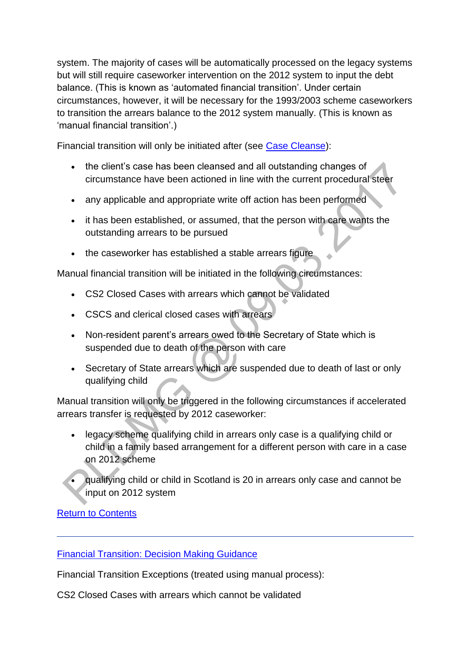system. The majority of cases will be automatically processed on the legacy systems but will still require caseworker intervention on the 2012 system to input the debt balance. (This is known as 'automated financial transition'. Under certain circumstances, however, it will be necessary for the 1993/2003 scheme caseworkers to transition the arrears balance to the 2012 system manually. (This is known as 'manual financial transition'.)

Financial transition will only be initiated after (see [Case Cleanse\)](http://np-cmg-sharepoint.link2.gpn.gov.uk/sites/policy-law-and-decision-making-guidance/Pages/Case-Cleanse.aspx):

- the client's case has been cleansed and all outstanding changes of circumstance have been actioned in line with the current procedural steer
- any applicable and appropriate write off action has been performed
- it has been established, or assumed, that the person with care wants the outstanding arrears to be pursued
- the caseworker has established a stable arrears figure

Manual financial transition will be initiated in the following circumstances:

- CS2 Closed Cases with arrears which cannot be validated
- CSCS and clerical closed cases with arrears
- Non-resident parent's arrears owed to the Secretary of State which is suspended due to death of the person with care
- Secretary of State arrears which are suspended due to death of last or only qualifying child

Manual transition will only be triggered in the following circumstances if accelerated arrears transfer is requested by 2012 caseworker:

- legacy scheme qualifying child in arrears only case is a qualifying child or child in a family based arrangement for a different person with care in a case on 2012 scheme
- qualifying child or child in Scotland is 20 in arrears only case and cannot be input on 2012 system

[Return to Contents](http://np-cmg-sharepoint.link2.gpn.gov.uk/sites/policy-law-and-decision-making-guidance/Pages/Financial-Transition.aspx#Financial%20Transition%3a%20Contents)

[Financial Transition: Decision Making Guidance](http://np-cmg-sharepoint.link2.gpn.gov.uk/sites/policy-law-and-decision-making-guidance/Pages/Financial-Transition.aspx#Financial%20Transition%3a%20Decision%20Making%20Guidance)

Financial Transition Exceptions (treated using manual process):

CS2 Closed Cases with arrears which cannot be validated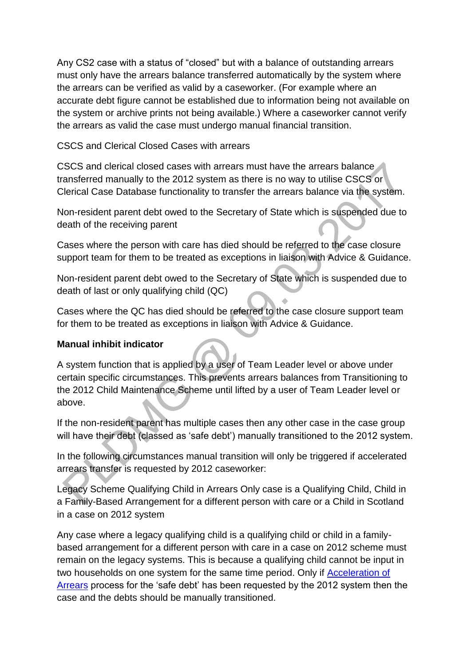Any CS2 case with a status of "closed" but with a balance of outstanding arrears must only have the arrears balance transferred automatically by the system where the arrears can be verified as valid by a caseworker. (For example where an accurate debt figure cannot be established due to information being not available on the system or archive prints not being available.) Where a caseworker cannot verify the arrears as valid the case must undergo manual financial transition.

CSCS and Clerical Closed Cases with arrears

CSCS and clerical closed cases with arrears must have the arrears balance transferred manually to the 2012 system as there is no way to utilise CSCS or Clerical Case Database functionality to transfer the arrears balance via the system.

Non-resident parent debt owed to the Secretary of State which is suspended due to death of the receiving parent

Cases where the person with care has died should be referred to the case closure support team for them to be treated as exceptions in liaison with Advice & Guidance.

Non-resident parent debt owed to the Secretary of State which is suspended due to death of last or only qualifying child (QC)

Cases where the QC has died should be referred to the case closure support team for them to be treated as exceptions in liaison with Advice & Guidance.

# **Manual inhibit indicator**

A system function that is applied by a user of Team Leader level or above under certain specific circumstances. This prevents arrears balances from Transitioning to the 2012 Child Maintenance Scheme until lifted by a user of Team Leader level or above.

If the non-resident parent has multiple cases then any other case in the case group will have their debt (classed as 'safe debt') manually transitioned to the 2012 system.

In the following circumstances manual transition will only be triggered if accelerated arrears transfer is requested by 2012 caseworker:

Legacy Scheme Qualifying Child in Arrears Only case is a Qualifying Child, Child in a Family-Based Arrangement for a different person with care or a Child in Scotland in a case on 2012 system

Any case where a legacy qualifying child is a qualifying child or child in a familybased arrangement for a different person with care in a case on 2012 scheme must remain on the legacy systems. This is because a qualifying child cannot be input in two households on one system for the same time period. Only if Acceleration of [Arrears](http://csrhelp/webhelp/externalprocedures/current/f4/f4_01012_1.htm) process for the 'safe debt' has been requested by the 2012 system then the case and the debts should be manually transitioned.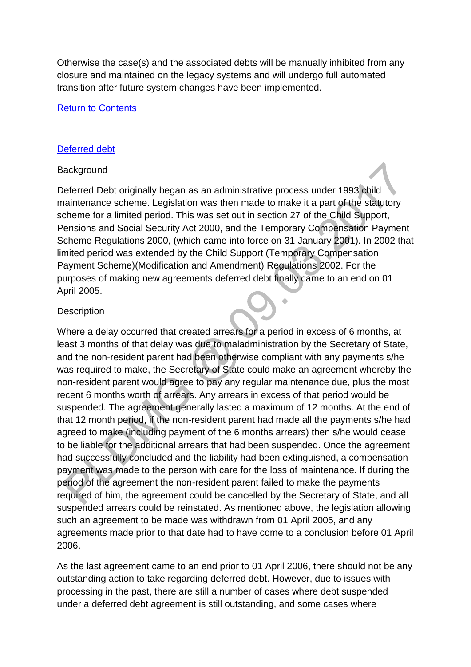Otherwise the case(s) and the associated debts will be manually inhibited from any closure and maintained on the legacy systems and will undergo full automated transition after future system changes have been implemented.

## [Return to Contents](http://np-cmg-sharepoint.link2.gpn.gov.uk/sites/policy-law-and-decision-making-guidance/Pages/Financial-Transition.aspx#Financial%20Transition%3a%20Contents)

## [Deferred debt](http://np-cmg-sharepoint.link2.gpn.gov.uk/sites/policy-law-and-decision-making-guidance/Pages/Financial-Transition.aspx?ControlMode=Edit&DisplayMode=Design)

#### **Background**

Deferred Debt originally began as an administrative process under 1993 child maintenance scheme. Legislation was then made to make it a part of the statutory scheme for a limited period. This was set out in section 27 of the Child Support, Pensions and Social Security Act 2000, and the Temporary Compensation Payment Scheme Regulations 2000, (which came into force on 31 January 2001). In 2002 that limited period was extended by the Child Support (Temporary Compensation Payment Scheme)(Modification and Amendment) Regulations 2002. For the purposes of making new agreements deferred debt finally came to an end on 01 April 2005.

## **Description**

Where a delay occurred that created arrears for a period in excess of 6 months, at least 3 months of that delay was due to maladministration by the Secretary of State, and the non-resident parent had been otherwise compliant with any payments s/he was required to make, the Secretary of State could make an agreement whereby the non-resident parent would agree to pay any regular maintenance due, plus the most recent 6 months worth of arrears. Any arrears in excess of that period would be suspended. The agreement generally lasted a maximum of 12 months. At the end of that 12 month period, if the non-resident parent had made all the payments s/he had agreed to make (including payment of the 6 months arrears) then s/he would cease to be liable for the additional arrears that had been suspended. Once the agreement had successfully concluded and the liability had been extinguished, a compensation payment was made to the person with care for the loss of maintenance. If during the period of the agreement the non-resident parent failed to make the payments required of him, the agreement could be cancelled by the Secretary of State, and all suspended arrears could be reinstated. As mentioned above, the legislation allowing such an agreement to be made was withdrawn from 01 April 2005, and any agreements made prior to that date had to have come to a conclusion before 01 April 2006.

As the last agreement came to an end prior to 01 April 2006, there should not be any outstanding action to take regarding deferred debt. However, due to issues with processing in the past, there are still a number of cases where debt suspended under a deferred debt agreement is still outstanding, and some cases where